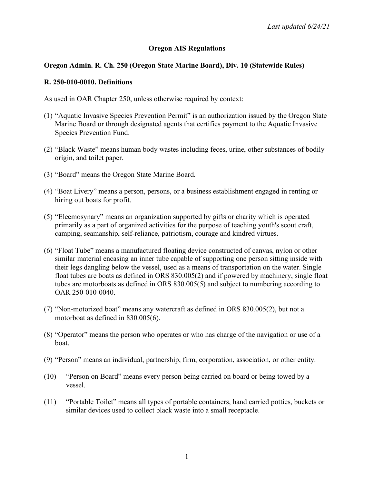# **Oregon AIS Regulations**

## **Oregon Admin. R. Ch. 250 (Oregon State Marine Board), Div. 10 (Statewide Rules)**

## **R. 250-010-0010. Definitions**

As used in OAR Chapter 250, unless otherwise required by context:

- (1) "Aquatic Invasive Species Prevention Permit" is an authorization issued by the Oregon State Marine Board or through designated agents that certifies payment to the Aquatic Invasive Species Prevention Fund.
- (2) "Black Waste" means human body wastes including feces, urine, other substances of bodily origin, and toilet paper.
- (3) "Board" means the Oregon State Marine Board.
- (4) "Boat Livery" means a person, persons, or a business establishment engaged in renting or hiring out boats for profit.
- (5) "Eleemosynary" means an organization supported by gifts or charity which is operated primarily as a part of organized activities for the purpose of teaching youth's scout craft, camping, seamanship, self-reliance, patriotism, courage and kindred virtues.
- (6) "Float Tube" means a manufactured floating device constructed of canvas, nylon or other similar material encasing an inner tube capable of supporting one person sitting inside with their legs dangling below the vessel, used as a means of transportation on the water. Single float tubes are boats as defined in ORS 830.005(2) and if powered by machinery, single float tubes are motorboats as defined in ORS 830.005(5) and subject to numbering according to OAR 250-010-0040.
- (7) "Non-motorized boat" means any watercraft as defined in ORS 830.005(2), but not a motorboat as defined in 830.005(6).
- (8) "Operator" means the person who operates or who has charge of the navigation or use of a boat.
- (9) "Person" means an individual, partnership, firm, corporation, association, or other entity.
- (10) "Person on Board" means every person being carried on board or being towed by a vessel.
- (11) "Portable Toilet" means all types of portable containers, hand carried potties, buckets or similar devices used to collect black waste into a small receptacle.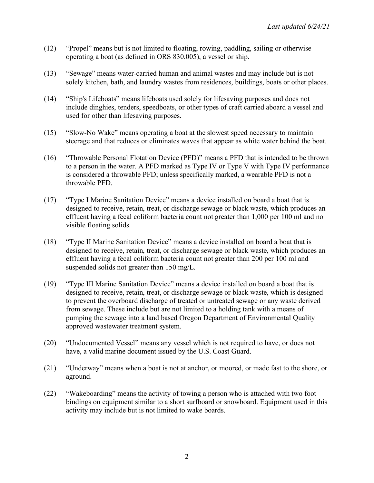- (12) "Propel" means but is not limited to floating, rowing, paddling, sailing or otherwise operating a boat (as defined in ORS 830.005), a vessel or ship.
- (13) "Sewage" means water-carried human and animal wastes and may include but is not solely kitchen, bath, and laundry wastes from residences, buildings, boats or other places.
- (14) "Ship's Lifeboats" means lifeboats used solely for lifesaving purposes and does not include dinghies, tenders, speedboats, or other types of craft carried aboard a vessel and used for other than lifesaving purposes.
- (15) "Slow-No Wake" means operating a boat at the slowest speed necessary to maintain steerage and that reduces or eliminates waves that appear as white water behind the boat.
- (16) "Throwable Personal Flotation Device (PFD)" means a PFD that is intended to be thrown to a person in the water. A PFD marked as Type IV or Type V with Type IV performance is considered a throwable PFD; unless specifically marked, a wearable PFD is not a throwable PFD.
- (17) "Type I Marine Sanitation Device" means a device installed on board a boat that is designed to receive, retain, treat, or discharge sewage or black waste, which produces an effluent having a fecal coliform bacteria count not greater than 1,000 per 100 ml and no visible floating solids.
- (18) "Type II Marine Sanitation Device" means a device installed on board a boat that is designed to receive, retain, treat, or discharge sewage or black waste, which produces an effluent having a fecal coliform bacteria count not greater than 200 per 100 ml and suspended solids not greater than 150 mg/L.
- (19) "Type III Marine Sanitation Device" means a device installed on board a boat that is designed to receive, retain, treat, or discharge sewage or black waste, which is designed to prevent the overboard discharge of treated or untreated sewage or any waste derived from sewage. These include but are not limited to a holding tank with a means of pumping the sewage into a land based Oregon Department of Environmental Quality approved wastewater treatment system.
- (20) "Undocumented Vessel" means any vessel which is not required to have, or does not have, a valid marine document issued by the U.S. Coast Guard.
- (21) "Underway" means when a boat is not at anchor, or moored, or made fast to the shore, or aground.
- (22) "Wakeboarding" means the activity of towing a person who is attached with two foot bindings on equipment similar to a short surfboard or snowboard. Equipment used in this activity may include but is not limited to wake boards.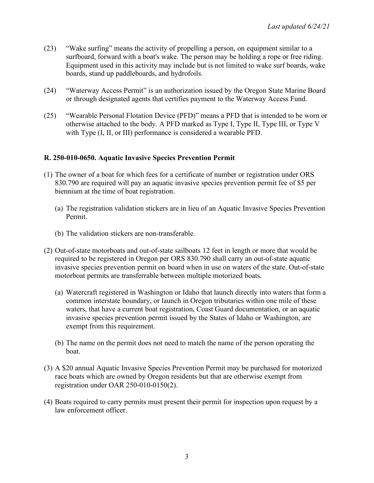- (23) "Wake surfing" means the activity of propelling a person, on equipment similar to a surfboard, forward with a boat's wake. The person may be holding a rope or free riding. Equipment used in this activity may include but is not limited to wake surf boards, wake boards, stand up paddleboards, and hydrofoils.
- (24) "Waterway Access Permit" is an authorization issued by the Oregon State Marine Board or through designated agents that certifies payment to the Waterway Access Fund.
- (25) "Wearable Personal Flotation Device (PFD)" means a PFD that is intended to be worn or otherwise attached to the body. A PFD marked as Type I, Type II, Type III, or Type V with Type (I, II, or III) performance is considered a wearable PFD.

# **R. 250-010-0650. Aquatic Invasive Species Prevention Permit**

- (1) The owner of a boat for which fees for a certificate of number or registration under ORS 830.790 are required will pay an aquatic invasive species prevention permit fee of \$5 per biennium at the time of boat registration.
	- (a) The registration validation stickers are in lieu of an Aquatic Invasive Species Prevention Permit.
	- (b) The validation stickers are non-transferable.
- (2) Out-of-state motorboats and out-of-state sailboats 12 feet in length or more that would be required to be registered in Oregon per ORS 830.790 shall carry an out-of-state aquatic invasive species prevention permit on board when in use on waters of the state. Out-of-state motorboat permits are transferrable between multiple motorized boats.
	- (a) Watercraft registered in Washington or Idaho that launch directly into waters that form a common interstate boundary, or launch in Oregon tributaries within one mile of these waters, that have a current boat registration, Coast Guard documentation, or an aquatic invasive species prevention permit issued by the States of Idaho or Washington, are exempt from this requirement.
	- (b) The name on the permit does not need to match the name of the person operating the boat.
- (3) A \$20 annual Aquatic Invasive Species Prevention Permit may be purchased for motorized race boats which are owned by Oregon residents but that are otherwise exempt from registration under OAR 250-010-0150(2).
- (4) Boats required to carry permits must present their permit for inspection upon request by a law enforcement officer.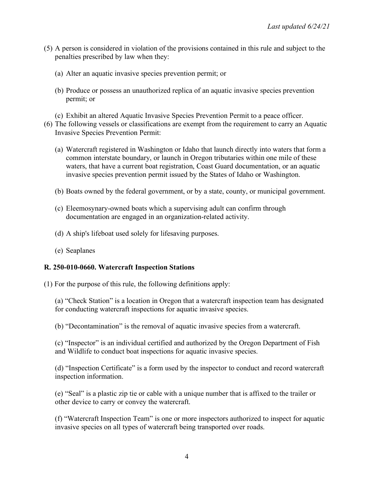- (5) A person is considered in violation of the provisions contained in this rule and subject to the penalties prescribed by law when they:
	- (a) Alter an aquatic invasive species prevention permit; or
	- (b) Produce or possess an unauthorized replica of an aquatic invasive species prevention permit; or
	- (c) Exhibit an altered Aquatic Invasive Species Prevention Permit to a peace officer.
- (6) The following vessels or classifications are exempt from the requirement to carry an Aquatic Invasive Species Prevention Permit:
	- (a) Watercraft registered in Washington or Idaho that launch directly into waters that form a common interstate boundary, or launch in Oregon tributaries within one mile of these waters, that have a current boat registration, Coast Guard documentation, or an aquatic invasive species prevention permit issued by the States of Idaho or Washington.
	- (b) Boats owned by the federal government, or by a state, county, or municipal government.
	- (c) Eleemosynary-owned boats which a supervising adult can confirm through documentation are engaged in an organization-related activity.
	- (d) A ship's lifeboat used solely for lifesaving purposes.
	- (e) Seaplanes

#### **R. 250-010-0660. Watercraft Inspection Stations**

(1) For the purpose of this rule, the following definitions apply:

(a) "Check Station" is a location in Oregon that a watercraft inspection team has designated for conducting watercraft inspections for aquatic invasive species.

(b) "Decontamination" is the removal of aquatic invasive species from a watercraft.

(c) "Inspector" is an individual certified and authorized by the Oregon Department of Fish and Wildlife to conduct boat inspections for aquatic invasive species.

(d) "Inspection Certificate" is a form used by the inspector to conduct and record watercraft inspection information.

(e) "Seal" is a plastic zip tie or cable with a unique number that is affixed to the trailer or other device to carry or convey the watercraft.

(f) "Watercraft Inspection Team" is one or more inspectors authorized to inspect for aquatic invasive species on all types of watercraft being transported over roads.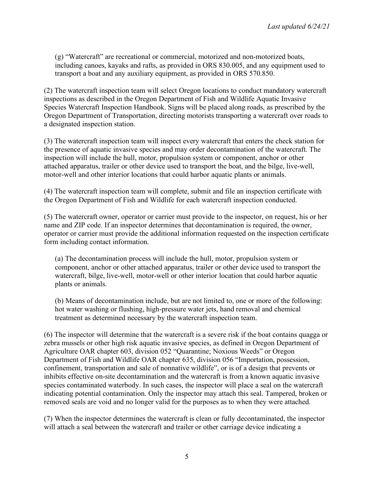(g) "Watercraft" are recreational or commercial, motorized and non-motorized boats, including canoes, kayaks and rafts, as provided in ORS 830.005, and any equipment used to transport a boat and any auxiliary equipment, as provided in ORS 570.850.

(2) The watercraft inspection team will select Oregon locations to conduct mandatory watercraft inspections as described in the Oregon Department of Fish and Wildlife Aquatic Invasive Species Watercraft Inspection Handbook. Signs will be placed along roads, as prescribed by the Oregon Department of Transportation, directing motorists transporting a watercraft over roads to a designated inspection station.

(3) The watercraft inspection team will inspect every watercraft that enters the check station for the presence of aquatic invasive species and may order decontamination of the watercraft. The inspection will include the hull, motor, propulsion system or component, anchor or other attached apparatus, trailer or other device used to transport the boat, and the bilge, live-well, motor-well and other interior locations that could harbor aquatic plants or animals.

(4) The watercraft inspection team will complete, submit and file an inspection certificate with the Oregon Department of Fish and Wildlife for each watercraft inspection conducted.

(5) The watercraft owner, operator or carrier must provide to the inspector, on request, his or her name and ZIP code. If an inspector determines that decontamination is required, the owner, operator or carrier must provide the additional information requested on the inspection certificate form including contact information.

(a) The decontamination process will include the hull, motor, propulsion system or component, anchor or other attached apparatus, trailer or other device used to transport the watercraft, bilge, live-well, motor-well or other interior location that could harbor aquatic plants or animals.

(b) Means of decontamination include, but are not limited to, one or more of the following: hot water washing or flushing, high-pressure water jets, hand removal and chemical treatment as determined necessary by the watercraft inspection team.

(6) The inspector will determine that the watercraft is a severe risk if the boat contains quagga or zebra mussels or other high risk aquatic invasive species, as defined in Oregon Department of Agriculture OAR chapter 603, division 052 "Quarantine; Noxious Weeds" or Oregon Department of Fish and Wildlife OAR chapter 635, division 056 "Importation, possession, confinement, transportation and sale of nonnative wildlife", or is of a design that prevents or inhibits effective on-site decontamination and the watercraft is from a known aquatic invasive species contaminated waterbody. In such cases, the inspector will place a seal on the watercraft indicating potential contamination. Only the inspector may attach this seal. Tampered, broken or removed seals are void and no longer valid for the purposes as to when they were attached.

(7) When the inspector determines the watercraft is clean or fully decontaminated, the inspector will attach a seal between the watercraft and trailer or other carriage device indicating a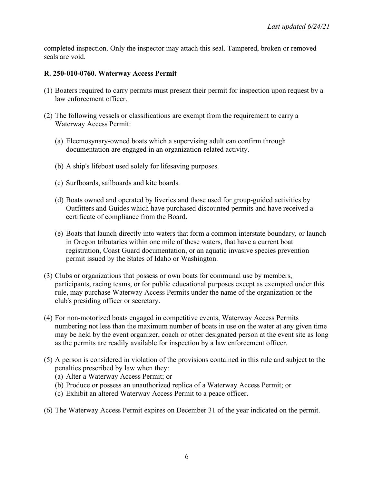completed inspection. Only the inspector may attach this seal. Tampered, broken or removed seals are void.

### **R. 250-010-0760. Waterway Access Permit**

- (1) Boaters required to carry permits must present their permit for inspection upon request by a law enforcement officer.
- (2) The following vessels or classifications are exempt from the requirement to carry a Waterway Access Permit:
	- (a) Eleemosynary-owned boats which a supervising adult can confirm through documentation are engaged in an organization-related activity.
	- (b) A ship's lifeboat used solely for lifesaving purposes.
	- (c) Surfboards, sailboards and kite boards.
	- (d) Boats owned and operated by liveries and those used for group-guided activities by Outfitters and Guides which have purchased discounted permits and have received a certificate of compliance from the Board.
	- (e) Boats that launch directly into waters that form a common interstate boundary, or launch in Oregon tributaries within one mile of these waters, that have a current boat registration, Coast Guard documentation, or an aquatic invasive species prevention permit issued by the States of Idaho or Washington.
- (3) Clubs or organizations that possess or own boats for communal use by members, participants, racing teams, or for public educational purposes except as exempted under this rule, may purchase Waterway Access Permits under the name of the organization or the club's presiding officer or secretary.
- (4) For non-motorized boats engaged in competitive events, Waterway Access Permits numbering not less than the maximum number of boats in use on the water at any given time may be held by the event organizer, coach or other designated person at the event site as long as the permits are readily available for inspection by a law enforcement officer.
- (5) A person is considered in violation of the provisions contained in this rule and subject to the penalties prescribed by law when they:
	- (a) Alter a Waterway Access Permit; or
	- (b) Produce or possess an unauthorized replica of a Waterway Access Permit; or
	- (c) Exhibit an altered Waterway Access Permit to a peace officer.
- (6) The Waterway Access Permit expires on December 31 of the year indicated on the permit.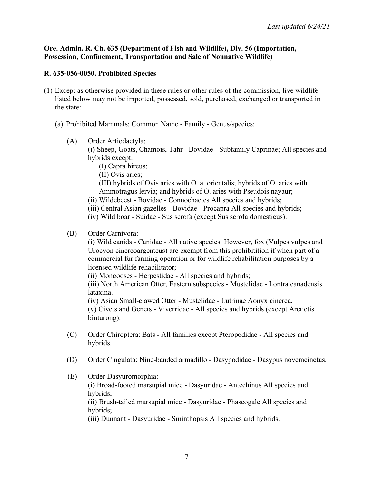### **Ore. Admin. R. Ch. 635 (Department of Fish and Wildlife), Div. 56 (Importation, Possession, Confinement, Transportation and Sale of Nonnative Wildlife)**

### **R. 635-056-0050. Prohibited Species**

- (1) Except as otherwise provided in these rules or other rules of the commission, live wildlife listed below may not be imported, possessed, sold, purchased, exchanged or transported in the state:
	- (a) Prohibited Mammals: Common Name Family Genus/species:
		- (A) Order Artiodactyla:

(i) Sheep, Goats, Chamois, Tahr - Bovidae - Subfamily Caprinae; All species and hybrids except:

- (I) Capra hircus;
- (II) Ovis aries;
- (III) hybrids of Ovis aries with O. a. orientalis; hybrids of O. aries with Ammotragus lervia; and hybrids of O. aries with Pseudois nayaur;
- (ii) Wildebeest Bovidae Connochaetes All species and hybrids;
- (iii) Central Asian gazelles Bovidae Procapra All species and hybrids;
- (iv) Wild boar Suidae Sus scrofa (except Sus scrofa domesticus).

### (B) Order Carnivora:

(i) Wild canids - Canidae - All native species. However, fox (Vulpes vulpes and Urocyon cinereoargenteus) are exempt from this prohibitition if when part of a commercial fur farming operation or for wildlife rehabilitation purposes by a licensed wildlife rehabilitator;

(ii) Mongooses - Herpestidae - All species and hybrids;

(iii) North American Otter, Eastern subspecies - Mustelidae - Lontra canadensis lataxina.

(iv) Asian Small-clawed Otter - Mustelidae - Lutrinae Aonyx cinerea. (v) Civets and Genets - Viverridae - All species and hybrids (except Arctictis binturong).

- (C) Order Chiroptera: Bats All families except Pteropodidae All species and hybrids.
- (D) Order Cingulata: Nine-banded armadillo Dasypodidae Dasypus novemcinctus.
- (E) Order Dasyuromorphia: (i) Broad-footed marsupial mice - Dasyuridae - Antechinus All species and hybrids; (ii) Brush-tailed marsupial mice - Dasyuridae - Phascogale All species and hybrids; (iii) Dunnant - Dasyuridae - Sminthopsis All species and hybrids.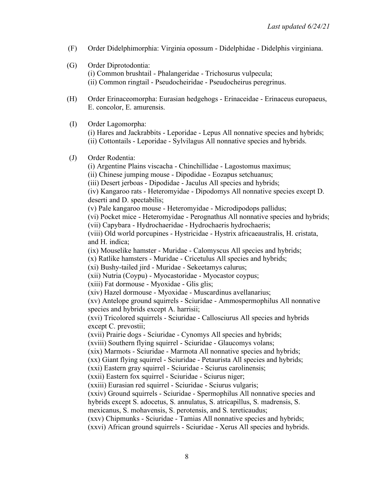- (F) Order Didelphimorphia: Virginia opossum Didelphidae Didelphis virginiana.
- (G) Order Diprotodontia: (i) Common brushtail - Phalangeridae - Trichosurus vulpecula; (ii) Common ringtail - Pseudocheiridae - Pseudocheirus peregrinus.
- (H) Order Erinaceomorpha: Eurasian hedgehogs Erinaceidae Erinaceus europaeus, E. concolor, E. amurensis.

(I) Order Lagomorpha: (i) Hares and Jackrabbits - Leporidae - Lepus All nonnative species and hybrids; (ii) Cottontails - Leporidae - Sylvilagus All nonnative species and hybrids.

#### (J) Order Rodentia:

(i) Argentine Plains viscacha - Chinchillidae - Lagostomus maximus;

(ii) Chinese jumping mouse - Dipodidae - Eozapus setchuanus;

(iii) Desert jerboas - Dipodidae - Jaculus All species and hybrids;

(iv) Kangaroo rats - Heteromyidae - Dipodomys All nonnative species except D. deserti and D. spectabilis;

(v) Pale kangaroo mouse - Heteromyidae - Microdipodops pallidus;

(vi) Pocket mice - Heteromyidae - Perognathus All nonnative species and hybrids;

(vii) Capybara - Hydrochaeridae - Hydrochaeris hydrochaeris;

(viii) Old world porcupines - Hystricidae - Hystrix africaeaustralis, H. cristata, and H. indica;

(ix) Mouselike hamster - Muridae - Calomyscus All species and hybrids;

(x) Ratlike hamsters - Muridae - Cricetulus All species and hybrids;

(xi) Bushy-tailed jird - Muridae - Sekeetamys calurus;

(xii) Nutria (Coypu) - Myocastoridae - Myocastor coypus;

(xiii) Fat dormouse - Myoxidae - Glis glis;

(xiv) Hazel dormouse - Myoxidae - Muscardinus avellanarius;

(xv) Antelope ground squirrels - Sciuridae - Ammospermophilus All nonnative species and hybrids except A. harrisii;

(xvi) Tricolored squirrels - Sciuridae - Callosciurus All species and hybrids except C. prevostii;

(xvii) Prairie dogs - Sciuridae - Cynomys All species and hybrids;

(xviii) Southern flying squirrel - Sciuridae - Glaucomys volans;

(xix) Marmots - Sciuridae - Marmota All nonnative species and hybrids;

(xx) Giant flying squirrel - Sciuridae - Petaurista All species and hybrids;

(xxi) Eastern gray squirrel - Sciuridae - Sciurus carolinensis;

(xxii) Eastern fox squirrel - Sciuridae - Sciurus niger;

(xxiii) Eurasian red squirrel - Sciuridae - Sciurus vulgaris;

(xxiv) Ground squirrels - Sciuridae - Spermophilus All nonnative species and

hybrids except S. adocetus, S. annulatus, S. atricapillus, S. madrensis, S.

mexicanus, S. mohavensis, S. perotensis, and S. tereticaudus;

(xxv) Chipmunks - Sciuridae - Tamias All nonnative species and hybrids;

(xxvi) African ground squirrels - Sciuridae - Xerus All species and hybrids.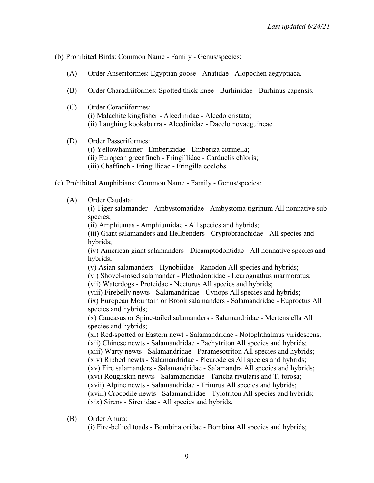(b) Prohibited Birds: Common Name - Family - Genus/species:

- (A) Order Anseriformes: Egyptian goose Anatidae Alopochen aegyptiaca.
- (B) Order Charadriiformes: Spotted thick-knee Burhinidae Burhinus capensis.
- (C) Order Coraciiformes: (i) Malachite kingfisher - Alcedinidae - Alcedo cristata; (ii) Laughing kookaburra - Alcedinidae - Dacelo novaeguineae.
- (D) Order Passeriformes:
	- (i) Yellowhammer Emberizidae Emberiza citrinella;
	- (ii) European greenfinch Fringillidae Carduelis chloris;
	- (iii) Chaffinch Fringillidae Fringilla coelobs.
- (c) Prohibited Amphibians: Common Name Family Genus/species:
	- (A) Order Caudata:

(i) Tiger salamander - Ambystomatidae - Ambystoma tigrinum All nonnative subspecies;

(ii) Amphiumas - Amphiumidae - All species and hybrids;

(iii) Giant salamanders and Hellbenders - Cryptobranchidae - All species and hybrids;

(iv) American giant salamanders - Dicamptodontidae - All nonnative species and hybrids;

(v) Asian salamanders - Hynobiidae - Ranodon All species and hybrids;

(vi) Shovel-nosed salamander - Plethodontidae - Leurognathus marmoratus;

(vii) Waterdogs - Proteidae - Necturus All species and hybrids;

(viii) Firebelly newts - Salamandridae - Cynops All species and hybrids;

(ix) European Mountain or Brook salamanders - Salamandridae - Euproctus All species and hybrids;

(x) Caucasus or Spine-tailed salamanders - Salamandridae - Mertensiella All species and hybrids;

(xi) Red-spotted or Eastern newt - Salamandridae - Notophthalmus viridescens; (xii) Chinese newts - Salamandridae - Pachytriton All species and hybrids; (xiii) Warty newts - Salamandridae - Paramesotriton All species and hybrids; (xiv) Ribbed newts - Salamandridae - Pleurodeles All species and hybrids; (xv) Fire salamanders - Salamandridae - Salamandra All species and hybrids; (xvi) Roughskin newts - Salamandridae - Taricha rivularis and T. torosa; (xvii) Alpine newts - Salamandridae - Triturus All species and hybrids; (xviii) Crocodile newts - Salamandridae - Tylotriton All species and hybrids; (xix) Sirens - Sirenidae - All species and hybrids.

(B) Order Anura:

(i) Fire-bellied toads - Bombinatoridae - Bombina All species and hybrids;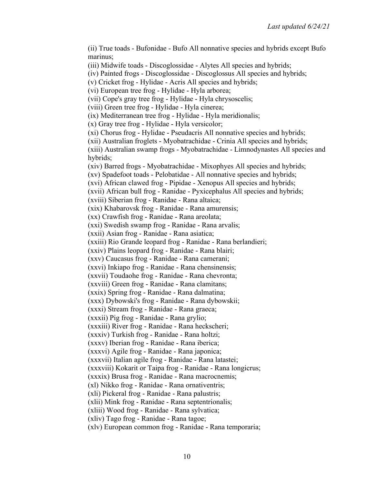(ii) True toads - Bufonidae - Bufo All nonnative species and hybrids except Bufo marinus; (iii) Midwife toads - Discoglossidae - Alytes All species and hybrids; (iv) Painted frogs - Discoglossidae - Discoglossus All species and hybrids; (v) Cricket frog - Hylidae - Acris All species and hybrids; (vi) European tree frog - Hylidae - Hyla arborea; (vii) Cope's gray tree frog - Hylidae - Hyla chrysoscelis; (viii) Green tree frog - Hylidae - Hyla cinerea; (ix) Mediterranean tree frog - Hylidae - Hyla meridionalis; (x) Gray tree frog - Hylidae - Hyla versicolor; (xi) Chorus frog - Hylidae - Pseudacris All nonnative species and hybrids; (xii) Australian froglets - Myobatrachidae - Crinia All species and hybrids; (xiii) Australian swamp frogs - Myobatrachidae - Limnodynastes All species and hybrids; (xiv) Barred frogs - Myobatrachidae - Mixophyes All species and hybrids; (xv) Spadefoot toads - Pelobatidae - All nonnative species and hybrids; (xvi) African clawed frog - Pipidae - Xenopus All species and hybrids; (xvii) African bull frog - Ranidae - Pyxicephalus All species and hybrids; (xviii) Siberian frog - Ranidae - Rana altaica; (xix) Khabarovsk frog - Ranidae - Rana amurensis; (xx) Crawfish frog - Ranidae - Rana areolata; (xxi) Swedish swamp frog - Ranidae - Rana arvalis; (xxii) Asian frog - Ranidae - Rana asiatica; (xxiii) Rio Grande leopard frog - Ranidae - Rana berlandieri; (xxiv) Plains leopard frog - Ranidae - Rana blairi; (xxv) Caucasus frog - Ranidae - Rana camerani; (xxvi) Inkiapo frog - Ranidae - Rana chensinensis; (xxvii) Toudaohe frog - Ranidae - Rana chevronta; (xxviii) Green frog - Ranidae - Rana clamitans; (xxix) Spring frog - Ranidae - Rana dalmatina; (xxx) Dybowski's frog - Ranidae - Rana dybowskii; (xxxi) Stream frog - Ranidae - Rana graeca; (xxxii) Pig frog - Ranidae - Rana grylio; (xxxiii) River frog - Ranidae - Rana heckscheri; (xxxiv) Turkish frog - Ranidae - Rana holtzi; (xxxv) Iberian frog - Ranidae - Rana iberica; (xxxvi) Agile frog - Ranidae - Rana japonica; (xxxvii) Italian agile frog - Ranidae - Rana latastei; (xxxviii) Kokarit or Taipa frog - Ranidae - Rana longicrus; (xxxix) Brusa frog - Ranidae - Rana macrocnemis; (xl) Nikko frog - Ranidae - Rana ornativentris; (xli) Pickeral frog - Ranidae - Rana palustris; (xlii) Mink frog - Ranidae - Rana septentrionalis; (xliii) Wood frog - Ranidae - Rana sylvatica; (xliv) Tago frog - Ranidae - Rana tagoe; (xlv) European common frog - Ranidae - Rana temporaria;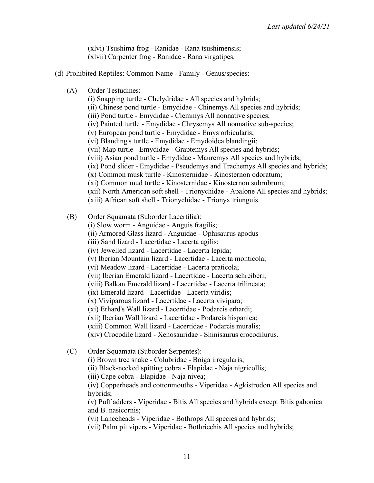(xlvi) Tsushima frog - Ranidae - Rana tsushimensis; (xlvii) Carpenter frog - Ranidae - Rana virgatipes.

- (d) Prohibited Reptiles: Common Name Family Genus/species:
	- (A) Order Testudines:
		- (i) Snapping turtle Chelydridae All species and hybrids;
		- (ii) Chinese pond turtle Emydidae Chinemys All species and hybrids;
		- (iii) Pond turtle Emydidae Clemmys All nonnative species;
		- (iv) Painted turtle Emydidae Chrysemys All nonnative sub-species;
		- (v) European pond turtle Emydidae Emys orbicularis;
		- (vi) Blanding's turtle Emydidae Emydoidea blandingii;
		- (vii) Map turtle Emydidae Graptemys All species and hybrids;
		- (viii) Asian pond turtle Emydidae Mauremys All species and hybrids;
		- (ix) Pond slider Emydidae Pseudemys and Trachemys All species and hybrids;
		- (x) Common musk turtle Kinosternidae Kinosternon odoratum;
		- (xi) Common mud turtle Kinosternidae Kinosternon subrubrum;
		- (xii) North American soft shell Trionychidae Apalone All species and hybrids;
		- (xiii) African soft shell Trionychidae Trionyx triunguis.
	- (B) Order Squamata (Suborder Lacertilia):
		- (i) Slow worm Anguidae Anguis fragilis;
		- (ii) Armored Glass lizard Anguidae Ophisaurus apodus
		- (iii) Sand lizard Lacertidae Lacerta agilis;
		- (iv) Jewelled lizard Lacertidae Lacerta lepida;
		- (v) Iberian Mountain lizard Lacertidae Lacerta monticola;
		- (vi) Meadow lizard Lacertidae Lacerta praticola;
		- (vii) Iberian Emerald lizard Lacertidae Lacerta schreiberi;
		- (viii) Balkan Emerald lizard Lacertidae Lacerta trilineata;
		- (ix) Emerald lizard Lacertidae Lacerta viridis;
		- (x) Viviparous lizard Lacertidae Lacerta vivipara;
		- (xi) Erhard's Wall lizard Lacertidae Podarcis erhardi;
		- (xii) Iberian Wall lizard Lacertidae Podarcis hispanica;
		- (xiii) Common Wall lizard Lacertidae Podarcis muralis;
		- (xiv) Crocodile lizard Xenosauridae Shinisaurus crocodilurus.
	- (C) Order Squamata (Suborder Serpentes):
		- (i) Brown tree snake Colubridae Boiga irregularis;
		- (ii) Black-necked spitting cobra Elapidae Naja nigricollis;
		- (iii) Cape cobra Elapidae Naja nivea;

(iv) Copperheads and cottonmouths - Viperidae - Agkistrodon All species and hybrids;

(v) Puff adders - Viperidae - Bitis All species and hybrids except Bitis gabonica and B. nasicornis;

(vi) Lanceheads - Viperidae - Bothrops All species and hybrids;

(vii) Palm pit vipers - Viperidae - Bothriechis All species and hybrids;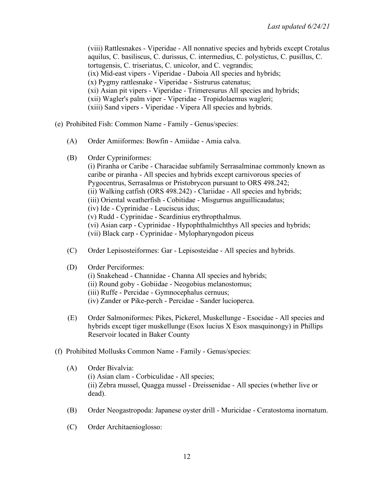(viii) Rattlesnakes - Viperidae - All nonnative species and hybrids except Crotalus aquilus, C. basiliscus, C. durissus, C. intermedius, C. polystictus, C. pusillus, C. tortugensis, C. triseriatus, C. unicolor, and C. vegrandis; (ix) Mid-east vipers - Viperidae - Daboia All species and hybrids; (x) Pygmy rattlesnake - Viperidae - Sistrurus catenatus; (xi) Asian pit vipers - Viperidae - Trimeresurus All species and hybrids; (xii) Wagler's palm viper - Viperidae - Tropidolaemus wagleri; (xiii) Sand vipers - Viperidae - Vipera All species and hybrids.

- (e) Prohibited Fish: Common Name Family Genus/species:
	- (A) Order Amiiformes: Bowfin Amiidae Amia calva.
	- (B) Order Cypriniformes:

(i) Piranha or Caribe - Characidae subfamily Serrasalminae commonly known as caribe or piranha - All species and hybrids except carnivorous species of Pygocentrus, Serrasalmus or Pristobrycon pursuant to ORS 498.242; (ii) Walking catfish (ORS 498.242) - Clariidae - All species and hybrids; (iii) Oriental weatherfish - Cobitidae - Misgurnus anguillicaudatus; (iv) Ide - Cyprinidae - Leuciscus idus; (v) Rudd - Cyprinidae - Scardinius erythropthalmus. (vi) Asian carp - Cyprinidae - Hypophthalmichthys All species and hybrids; (vii) Black carp - Cyprinidae - Mylopharyngodon piceus

- (C) Order Lepisosteiformes: Gar Lepisosteidae All species and hybrids.
- (D) Order Perciformes:
	- (i) Snakehead Channidae Channa All species and hybrids;
	- (ii) Round goby Gobiidae Neogobius melanostomus;
	- (iii) Ruffe Percidae Gymnocephalus cernuus;
	- (iv) Zander or Pike-perch Percidae Sander lucioperca.
- (E) Order Salmoniformes: Pikes, Pickerel, Muskellunge Esocidae All species and hybrids except tiger muskellunge (Esox lucius X Esox masquinongy) in Phillips Reservoir located in Baker County
- (f) Prohibited Mollusks Common Name Family Genus/species:
	- (A) Order Bivalvia: (i) Asian clam - Corbiculidae - All species; (ii) Zebra mussel, Quagga mussel - Dreissenidae - All species (whether live or dead).
	- (B) Order Neogastropoda: Japanese oyster drill Muricidae Ceratostoma inornatum.
	- (C) Order Architaenioglosso: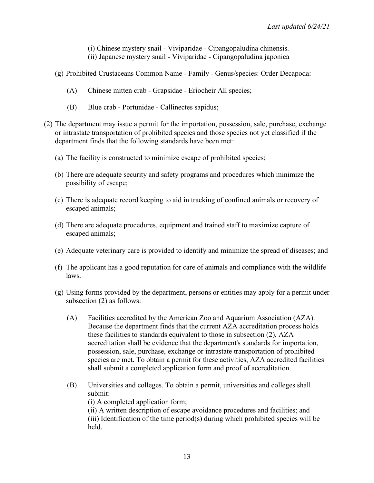(i) Chinese mystery snail - Viviparidae - Cipangopaludina chinensis. (ii) Japanese mystery snail - Viviparidae - Cipangopaludina japonica

- (g) Prohibited Crustaceans Common Name Family Genus/species: Order Decapoda:
	- (A) Chinese mitten crab Grapsidae Eriocheir All species;
	- (B) Blue crab Portunidae Callinectes sapidus;
- (2) The department may issue a permit for the importation, possession, sale, purchase, exchange or intrastate transportation of prohibited species and those species not yet classified if the department finds that the following standards have been met:
	- (a) The facility is constructed to minimize escape of prohibited species;
	- (b) There are adequate security and safety programs and procedures which minimize the possibility of escape;
	- (c) There is adequate record keeping to aid in tracking of confined animals or recovery of escaped animals;
	- (d) There are adequate procedures, equipment and trained staff to maximize capture of escaped animals;
	- (e) Adequate veterinary care is provided to identify and minimize the spread of diseases; and
	- (f) The applicant has a good reputation for care of animals and compliance with the wildlife laws.
	- (g) Using forms provided by the department, persons or entities may apply for a permit under subsection (2) as follows:
		- (A) Facilities accredited by the American Zoo and Aquarium Association (AZA). Because the department finds that the current AZA accreditation process holds these facilities to standards equivalent to those in subsection (2), AZA accreditation shall be evidence that the department's standards for importation, possession, sale, purchase, exchange or intrastate transportation of prohibited species are met. To obtain a permit for these activities, AZA accredited facilities shall submit a completed application form and proof of accreditation.
		- (B) Universities and colleges. To obtain a permit, universities and colleges shall submit:

(i) A completed application form;

(ii) A written description of escape avoidance procedures and facilities; and (iii) Identification of the time period(s) during which prohibited species will be held.